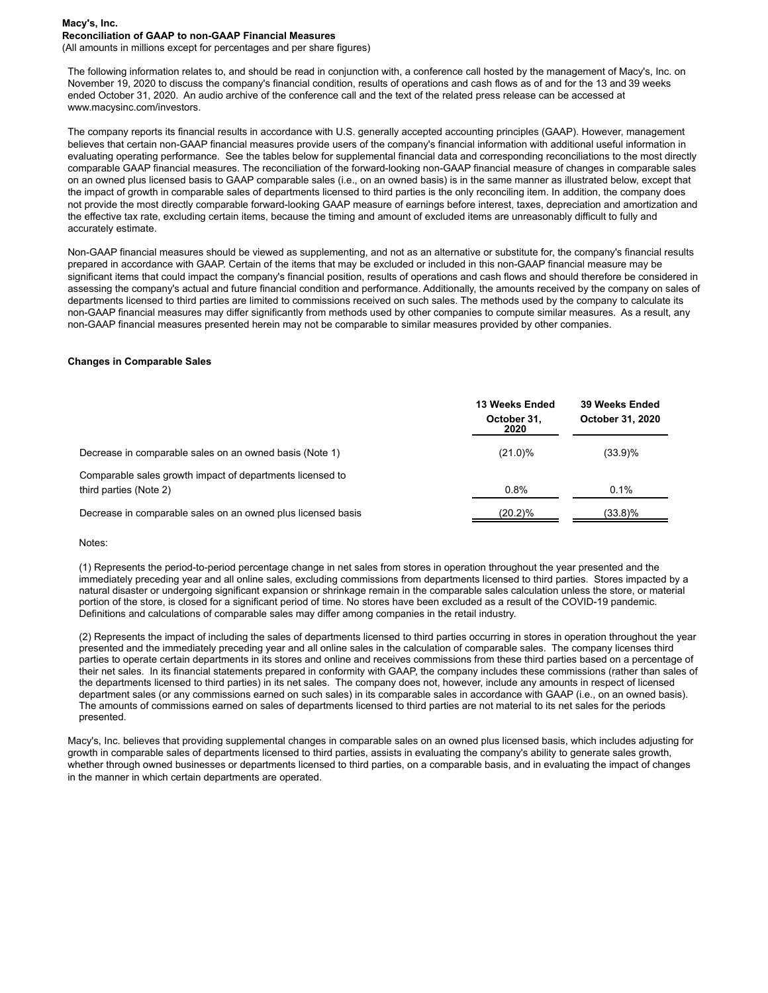(All amounts in millions except for percentages and per share figures)

The following information relates to, and should be read in conjunction with, a conference call hosted by the management of Macy's, Inc. on November 19, 2020 to discuss the company's financial condition, results of operations and cash flows as of and for the 13 and 39 weeks ended October 31, 2020. An audio archive of the conference call and the text of the related press release can be accessed at www.macysinc.com/investors.

The company reports its financial results in accordance with U.S. generally accepted accounting principles (GAAP). However, management believes that certain non-GAAP financial measures provide users of the company's financial information with additional useful information in evaluating operating performance. See the tables below for supplemental financial data and corresponding reconciliations to the most directly comparable GAAP financial measures. The reconciliation of the forward-looking non-GAAP financial measure of changes in comparable sales on an owned plus licensed basis to GAAP comparable sales (i.e., on an owned basis) is in the same manner as illustrated below, except that the impact of growth in comparable sales of departments licensed to third parties is the only reconciling item. In addition, the company does not provide the most directly comparable forward-looking GAAP measure of earnings before interest, taxes, depreciation and amortization and the effective tax rate, excluding certain items, because the timing and amount of excluded items are unreasonably difficult to fully and accurately estimate.

Non-GAAP financial measures should be viewed as supplementing, and not as an alternative or substitute for, the company's financial results prepared in accordance with GAAP. Certain of the items that may be excluded or included in this non-GAAP financial measure may be significant items that could impact the company's financial position, results of operations and cash flows and should therefore be considered in assessing the company's actual and future financial condition and performance. Additionally, the amounts received by the company on sales of departments licensed to third parties are limited to commissions received on such sales. The methods used by the company to calculate its non-GAAP financial measures may differ significantly from methods used by other companies to compute similar measures. As a result, any non-GAAP financial measures presented herein may not be comparable to similar measures provided by other companies.

### **Changes in Comparable Sales**

|                                                                                     | 13 Weeks Ended<br>October 31,<br>2020 | 39 Weeks Ended<br>October 31, 2020 |  |  |
|-------------------------------------------------------------------------------------|---------------------------------------|------------------------------------|--|--|
| Decrease in comparable sales on an owned basis (Note 1)                             | $(21.0)\%$                            | (33.9)%                            |  |  |
| Comparable sales growth impact of departments licensed to<br>third parties (Note 2) | 0.8%                                  | 0.1%                               |  |  |
| Decrease in comparable sales on an owned plus licensed basis                        | $(20.2)\%$                            | $(33.8)\%$                         |  |  |

#### Notes:

(1) Represents the period-to-period percentage change in net sales from stores in operation throughout the year presented and the immediately preceding year and all online sales, excluding commissions from departments licensed to third parties. Stores impacted by a natural disaster or undergoing significant expansion or shrinkage remain in the comparable sales calculation unless the store, or material portion of the store, is closed for a significant period of time. No stores have been excluded as a result of the COVID-19 pandemic. Definitions and calculations of comparable sales may differ among companies in the retail industry.

(2) Represents the impact of including the sales of departments licensed to third parties occurring in stores in operation throughout the year presented and the immediately preceding year and all online sales in the calculation of comparable sales. The company licenses third parties to operate certain departments in its stores and online and receives commissions from these third parties based on a percentage of their net sales. In its financial statements prepared in conformity with GAAP, the company includes these commissions (rather than sales of the departments licensed to third parties) in its net sales. The company does not, however, include any amounts in respect of licensed department sales (or any commissions earned on such sales) in its comparable sales in accordance with GAAP (i.e., on an owned basis). The amounts of commissions earned on sales of departments licensed to third parties are not material to its net sales for the periods presented.

Macy's, Inc. believes that providing supplemental changes in comparable sales on an owned plus licensed basis, which includes adjusting for growth in comparable sales of departments licensed to third parties, assists in evaluating the company's ability to generate sales growth, whether through owned businesses or departments licensed to third parties, on a comparable basis, and in evaluating the impact of changes in the manner in which certain departments are operated.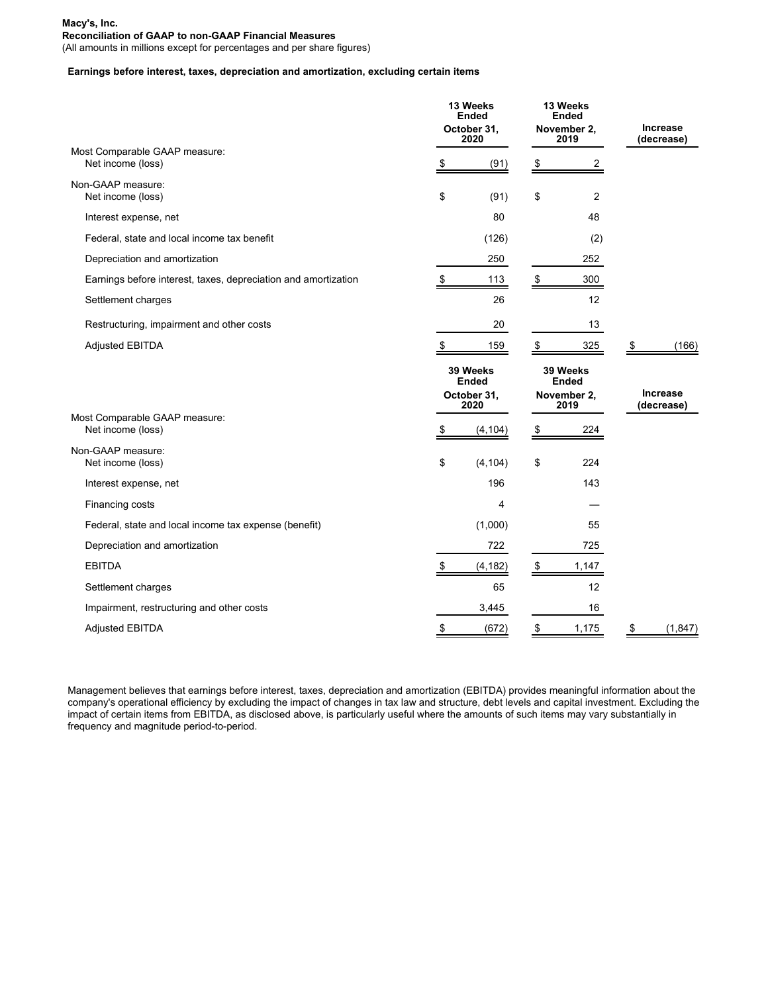(All amounts in millions except for percentages and per share figures)

### **Earnings before interest, taxes, depreciation and amortization, excluding certain items**

|                                                                |                   | 13 Weeks<br><b>Ended</b><br>October 31,<br>2020 |                   | 13 Weeks<br><b>Ended</b><br>November 2,<br>2019 |    | <b>Increase</b><br>(decrease) |  |
|----------------------------------------------------------------|-------------------|-------------------------------------------------|-------------------|-------------------------------------------------|----|-------------------------------|--|
| Most Comparable GAAP measure:<br>Net income (loss)             | \$                | (91)                                            | $\frac{1}{2}$     | $\overline{c}$                                  |    |                               |  |
| Non-GAAP measure:<br>Net income (loss)                         | \$                | (91)                                            | \$                | $\overline{2}$                                  |    |                               |  |
| Interest expense, net                                          |                   | 80                                              |                   | 48                                              |    |                               |  |
| Federal, state and local income tax benefit                    |                   | (126)                                           |                   | (2)                                             |    |                               |  |
| Depreciation and amortization                                  |                   | 250                                             |                   | 252                                             |    |                               |  |
| Earnings before interest, taxes, depreciation and amortization | \$                | 113                                             | \$                | 300                                             |    |                               |  |
| Settlement charges                                             |                   | 26                                              |                   | 12                                              |    |                               |  |
| Restructuring, impairment and other costs                      |                   | 20                                              |                   | 13                                              |    |                               |  |
| <b>Adjusted EBITDA</b>                                         | \$                | 159                                             | \$                | 325                                             | \$ | (166)                         |  |
|                                                                | 39 Weeks<br>Ended |                                                 | 39 Weeks<br>Ended |                                                 |    |                               |  |
|                                                                |                   | October 31.<br>2020                             |                   | November 2,<br>2019                             |    | Increase<br>(decrease)        |  |
| Most Comparable GAAP measure:<br>Net income (loss)             | S                 | (4, 104)                                        | \$                | 224                                             |    |                               |  |
| Non-GAAP measure:<br>Net income (loss)                         | \$                | (4, 104)                                        | \$                | 224                                             |    |                               |  |
| Interest expense, net                                          |                   | 196                                             |                   | 143                                             |    |                               |  |
| Financing costs                                                |                   | 4                                               |                   |                                                 |    |                               |  |
| Federal, state and local income tax expense (benefit)          |                   | (1,000)                                         |                   | 55                                              |    |                               |  |
| Depreciation and amortization                                  |                   | 722                                             |                   | 725                                             |    |                               |  |
| <b>EBITDA</b>                                                  | S                 | (4, 182)                                        | \$                | 1,147                                           |    |                               |  |
| Settlement charges                                             |                   | 65                                              |                   | 12                                              |    |                               |  |
| Impairment, restructuring and other costs                      |                   | 3,445                                           |                   | 16                                              |    |                               |  |
| <b>Adjusted EBITDA</b>                                         | \$                | (672)                                           | \$                | 1,175                                           | \$ | (1, 847)                      |  |

Management believes that earnings before interest, taxes, depreciation and amortization (EBITDA) provides meaningful information about the company's operational efficiency by excluding the impact of changes in tax law and structure, debt levels and capital investment. Excluding the impact of certain items from EBITDA, as disclosed above, is particularly useful where the amounts of such items may vary substantially in frequency and magnitude period-to-period.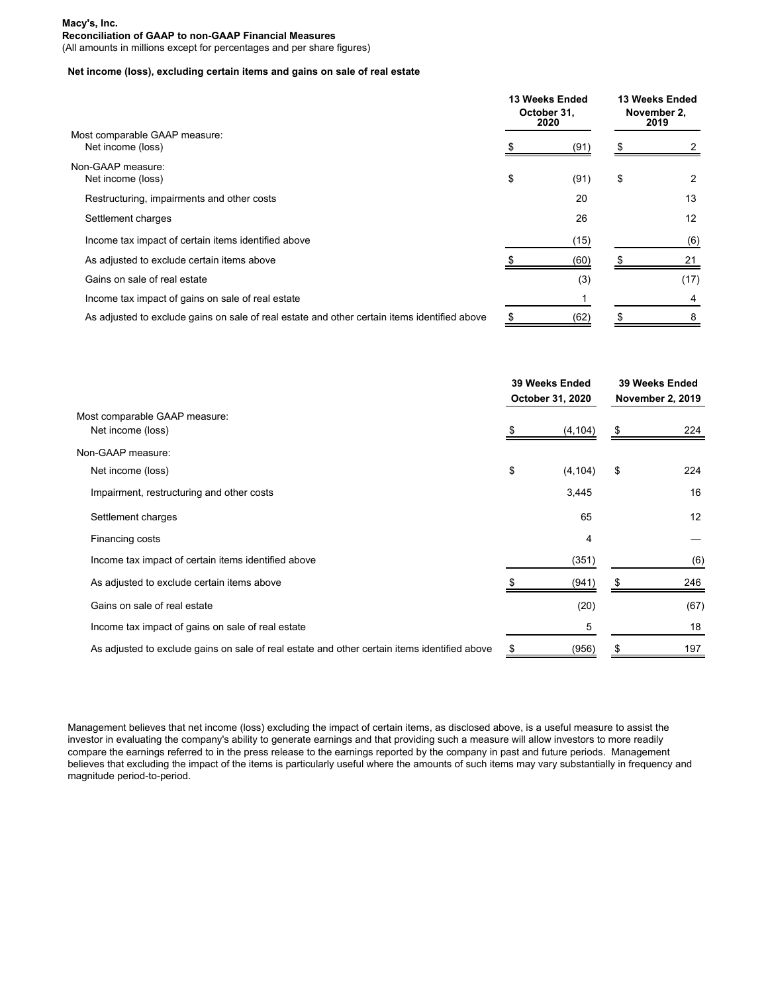(All amounts in millions except for percentages and per share figures)

## **Net income (loss), excluding certain items and gains on sale of real estate**

|                                                                                              |    | 13 Weeks Ended<br>October 31,<br>2020 |    | 13 Weeks Ended<br>November 2,<br>2019 |  |
|----------------------------------------------------------------------------------------------|----|---------------------------------------|----|---------------------------------------|--|
| Most comparable GAAP measure:<br>Net income (loss)                                           |    | (91)                                  |    |                                       |  |
| Non-GAAP measure:<br>Net income (loss)                                                       | \$ | (91)                                  | \$ | 2                                     |  |
| Restructuring, impairments and other costs                                                   |    | 20                                    |    | 13                                    |  |
| Settlement charges                                                                           |    | 26                                    |    | 12                                    |  |
| Income tax impact of certain items identified above                                          |    | (15)                                  |    | (6)                                   |  |
| As adjusted to exclude certain items above                                                   |    | (60)                                  |    | 21                                    |  |
| Gains on sale of real estate                                                                 |    | (3)                                   |    | (17)                                  |  |
| Income tax impact of gains on sale of real estate                                            |    |                                       |    | 4                                     |  |
| As adjusted to exclude gains on sale of real estate and other certain items identified above |    | (62)                                  |    | 8                                     |  |

|                                                                                              | <b>39 Weeks Ended</b><br>October 31, 2020 | 39 Weeks Ended<br><b>November 2, 2019</b> |                   |
|----------------------------------------------------------------------------------------------|-------------------------------------------|-------------------------------------------|-------------------|
| Most comparable GAAP measure:                                                                |                                           |                                           |                   |
| Net income (loss)                                                                            | (4, 104)                                  | P.                                        | 224               |
| Non-GAAP measure:                                                                            |                                           |                                           |                   |
| Net income (loss)                                                                            | \$<br>(4, 104)                            | \$                                        | 224               |
| Impairment, restructuring and other costs                                                    | 3,445                                     |                                           | 16                |
| Settlement charges                                                                           | 65                                        |                                           | $12 \overline{ }$ |
| Financing costs                                                                              | 4                                         |                                           |                   |
| Income tax impact of certain items identified above                                          | (351)                                     |                                           | (6)               |
| As adjusted to exclude certain items above                                                   | (941)                                     | Ж                                         | 246               |
| Gains on sale of real estate                                                                 | (20)                                      |                                           | (67)              |
| Income tax impact of gains on sale of real estate                                            | 5                                         |                                           | 18                |
| As adjusted to exclude gains on sale of real estate and other certain items identified above | (956)                                     |                                           | 197               |
|                                                                                              |                                           |                                           |                   |

Management believes that net income (loss) excluding the impact of certain items, as disclosed above, is a useful measure to assist the investor in evaluating the company's ability to generate earnings and that providing such a measure will allow investors to more readily compare the earnings referred to in the press release to the earnings reported by the company in past and future periods. Management believes that excluding the impact of the items is particularly useful where the amounts of such items may vary substantially in frequency and magnitude period-to-period.